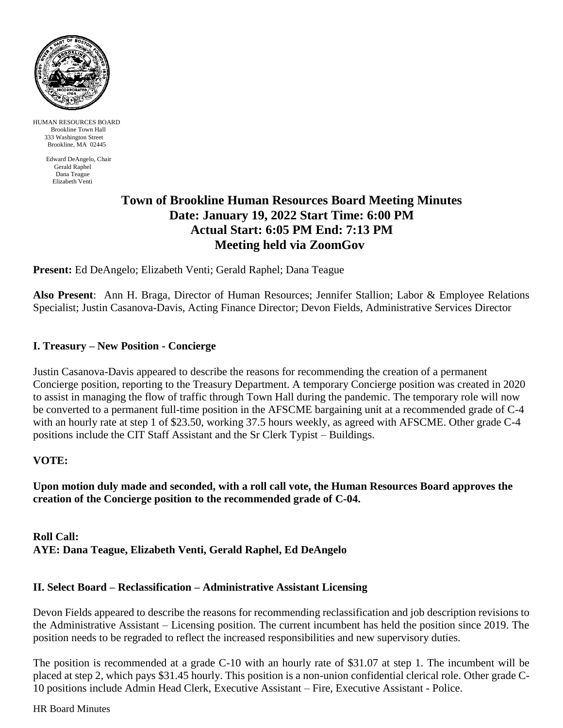

HUMAN RESOURCES BOARD Brookline Town Hall 333 Washington Street Brookline, MA 02445

> Edward DeAngelo, Chair Gerald Raphel Dana Teague Elizabeth Venti

# **Town of Brookline Human Resources Board Meeting Minutes Date: January 19, 2022 Start Time: 6:00 PM Actual Start: 6:05 PM End: 7:13 PM Meeting held via ZoomGov**

**Present:** Ed DeAngelo; Elizabeth Venti; Gerald Raphel; Dana Teague

**Also Present**: Ann H. Braga, Director of Human Resources; Jennifer Stallion; Labor & Employee Relations Specialist; Justin Casanova-Davis, Acting Finance Director; Devon Fields, Administrative Services Director

## **I. Treasury – New Position - Concierge**

Justin Casanova-Davis appeared to describe the reasons for recommending the creation of a permanent Concierge position, reporting to the Treasury Department. A temporary Concierge position was created in 2020 to assist in managing the flow of traffic through Town Hall during the pandemic. The temporary role will now be converted to a permanent full-time position in the AFSCME bargaining unit at a recommended grade of C-4 with an hourly rate at step 1 of \$23.50, working 37.5 hours weekly, as agreed with AFSCME. Other grade C-4 positions include the CIT Staff Assistant and the Sr Clerk Typist – Buildings.

### **VOTE:**

**Upon motion duly made and seconded, with a roll call vote, the Human Resources Board approves the creation of the Concierge position to the recommended grade of C-04.**

**Roll Call: AYE: Dana Teague, Elizabeth Venti, Gerald Raphel, Ed DeAngelo**

### **II. Select Board – Reclassification – Administrative Assistant Licensing**

Devon Fields appeared to describe the reasons for recommending reclassification and job description revisions to the Administrative Assistant – Licensing position. The current incumbent has held the position since 2019. The position needs to be regraded to reflect the increased responsibilities and new supervisory duties.

The position is recommended at a grade C-10 with an hourly rate of \$31.07 at step 1. The incumbent will be placed at step 2, which pays \$31.45 hourly. This position is a non-union confidential clerical role. Other grade C-10 positions include Admin Head Clerk, Executive Assistant – Fire, Executive Assistant - Police.

HR Board Minutes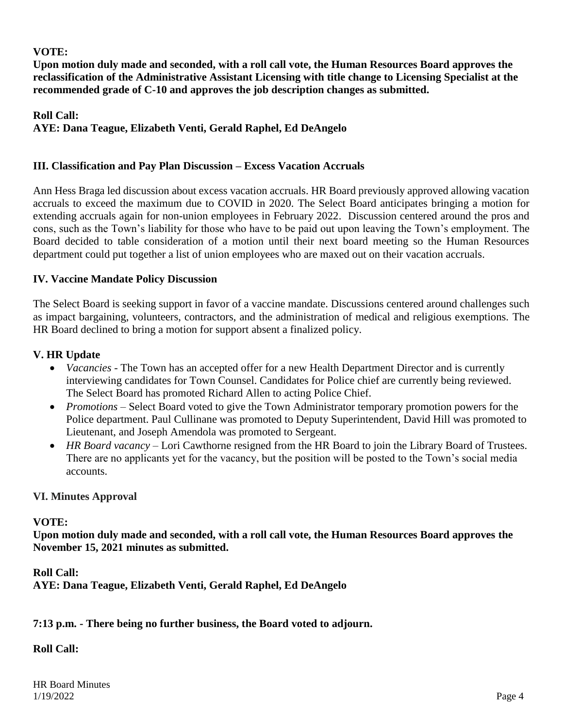## **VOTE:**

**Upon motion duly made and seconded, with a roll call vote, the Human Resources Board approves the reclassification of the Administrative Assistant Licensing with title change to Licensing Specialist at the recommended grade of C-10 and approves the job description changes as submitted.**

## **Roll Call: AYE: Dana Teague, Elizabeth Venti, Gerald Raphel, Ed DeAngelo**

## **III. Classification and Pay Plan Discussion – Excess Vacation Accruals**

Ann Hess Braga led discussion about excess vacation accruals. HR Board previously approved allowing vacation accruals to exceed the maximum due to COVID in 2020. The Select Board anticipates bringing a motion for extending accruals again for non-union employees in February 2022. Discussion centered around the pros and cons, such as the Town's liability for those who have to be paid out upon leaving the Town's employment. The Board decided to table consideration of a motion until their next board meeting so the Human Resources department could put together a list of union employees who are maxed out on their vacation accruals.

## **IV. Vaccine Mandate Policy Discussion**

The Select Board is seeking support in favor of a vaccine mandate. Discussions centered around challenges such as impact bargaining, volunteers, contractors, and the administration of medical and religious exemptions. The HR Board declined to bring a motion for support absent a finalized policy.

## **V. HR Update**

- *Vacancies* The Town has an accepted offer for a new Health Department Director and is currently interviewing candidates for Town Counsel. Candidates for Police chief are currently being reviewed. The Select Board has promoted Richard Allen to acting Police Chief.
- *Promotions* Select Board voted to give the Town Administrator temporary promotion powers for the Police department. Paul Cullinane was promoted to Deputy Superintendent, David Hill was promoted to Lieutenant, and Joseph Amendola was promoted to Sergeant.
- *HR Board vacancy*  Lori Cawthorne resigned from the HR Board to join the Library Board of Trustees. There are no applicants yet for the vacancy, but the position will be posted to the Town's social media accounts.

### **VI. Minutes Approval**

### **VOTE:**

**Upon motion duly made and seconded, with a roll call vote, the Human Resources Board approves the November 15, 2021 minutes as submitted.**

**Roll Call: AYE: Dana Teague, Elizabeth Venti, Gerald Raphel, Ed DeAngelo**

**7:13 p.m. - There being no further business, the Board voted to adjourn.**

## **Roll Call:**